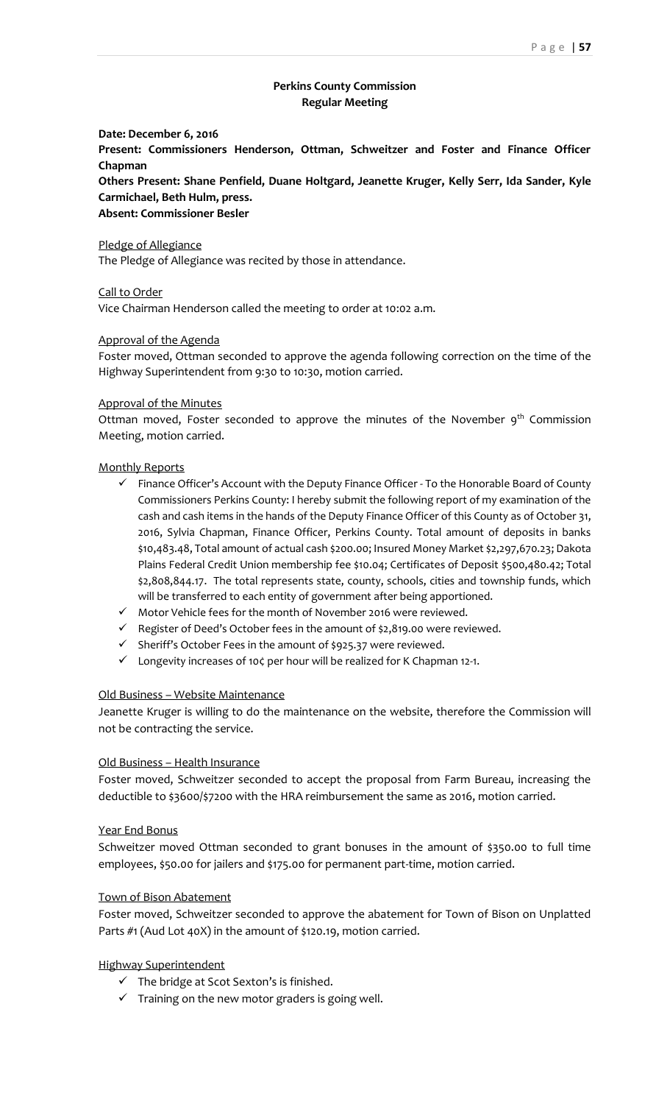# **Perkins County Commission Regular Meeting**

#### **Date: December 6, 2016**

**Present: Commissioners Henderson, Ottman, Schweitzer and Foster and Finance Officer Chapman**

**Others Present: Shane Penfield, Duane Holtgard, Jeanette Kruger, Kelly Serr, Ida Sander, Kyle Carmichael, Beth Hulm, press.**

#### **Absent: Commissioner Besler**

Pledge of Allegiance

The Pledge of Allegiance was recited by those in attendance.

Call to Order

Vice Chairman Henderson called the meeting to order at 10:02 a.m.

## Approval of the Agenda

Foster moved, Ottman seconded to approve the agenda following correction on the time of the Highway Superintendent from 9:30 to 10:30, motion carried.

### Approval of the Minutes

Ottman moved, Foster seconded to approve the minutes of the November  $9<sup>th</sup>$  Commission Meeting, motion carried.

## Monthly Reports

- $\checkmark$  Finance Officer's Account with the Deputy Finance Officer To the Honorable Board of County Commissioners Perkins County: I hereby submit the following report of my examination of the cash and cash items in the hands of the Deputy Finance Officer of this County as of October 31, 2016, Sylvia Chapman, Finance Officer, Perkins County. Total amount of deposits in banks \$10,483.48, Total amount of actual cash \$200.00; Insured Money Market \$2,297,670.23; Dakota Plains Federal Credit Union membership fee \$10.04; Certificates of Deposit \$500,480.42; Total \$2,808,844.17. The total represents state, county, schools, cities and township funds, which will be transferred to each entity of government after being apportioned.
- $\checkmark$  Motor Vehicle fees for the month of November 2016 were reviewed.
- $\checkmark$  Register of Deed's October fees in the amount of \$2,819.00 were reviewed.
- $\checkmark$  Sheriff's October Fees in the amount of \$925.37 were reviewed.
- Longevity increases of 10¢ per hour will be realized for K Chapman 12-1.

### Old Business – Website Maintenance

Jeanette Kruger is willing to do the maintenance on the website, therefore the Commission will not be contracting the service.

### Old Business – Health Insurance

Foster moved, Schweitzer seconded to accept the proposal from Farm Bureau, increasing the deductible to \$3600/\$7200 with the HRA reimbursement the same as 2016, motion carried.

### Year End Bonus

Schweitzer moved Ottman seconded to grant bonuses in the amount of \$350.00 to full time employees, \$50.00 for jailers and \$175.00 for permanent part-time, motion carried.

### Town of Bison Abatement

Foster moved, Schweitzer seconded to approve the abatement for Town of Bison on Unplatted Parts #1 (Aud Lot 40X) in the amount of \$120.19, motion carried.

### Highway Superintendent

- $\checkmark$  The bridge at Scot Sexton's is finished.
- $\checkmark$  Training on the new motor graders is going well.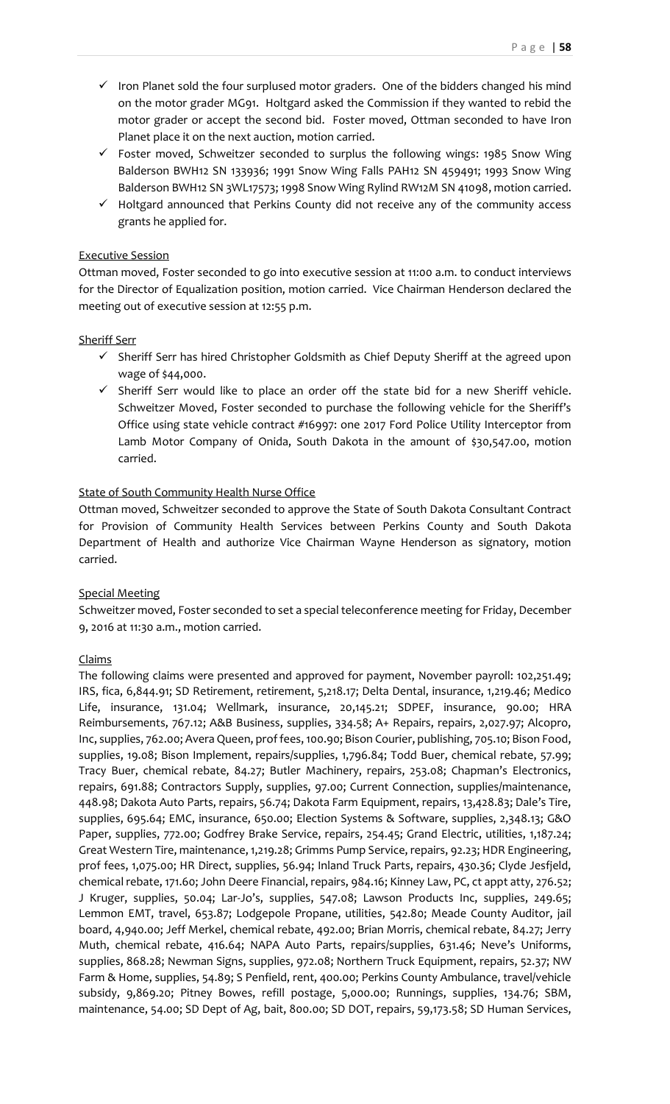- $\checkmark$  Iron Planet sold the four surplused motor graders. One of the bidders changed his mind on the motor grader MG91. Holtgard asked the Commission if they wanted to rebid the motor grader or accept the second bid. Foster moved, Ottman seconded to have Iron Planet place it on the next auction, motion carried.
- $\checkmark$  Foster moved, Schweitzer seconded to surplus the following wings: 1985 Snow Wing Balderson BWH12 SN 133936; 1991 Snow Wing Falls PAH12 SN 459491; 1993 Snow Wing Balderson BWH12 SN 3WL17573; 1998 Snow Wing Rylind RW12M SN 41098, motion carried.
- $\checkmark$  Holtgard announced that Perkins County did not receive any of the community access grants he applied for.

# Executive Session

Ottman moved, Foster seconded to go into executive session at 11:00 a.m. to conduct interviews for the Director of Equalization position, motion carried. Vice Chairman Henderson declared the meeting out of executive session at 12:55 p.m.

## Sheriff Serr

- $\checkmark$  Sheriff Serr has hired Christopher Goldsmith as Chief Deputy Sheriff at the agreed upon wage of \$44,000.
- $\checkmark$  Sheriff Serr would like to place an order off the state bid for a new Sheriff vehicle. Schweitzer Moved, Foster seconded to purchase the following vehicle for the Sheriff's Office using state vehicle contract #16997: one 2017 Ford Police Utility Interceptor from Lamb Motor Company of Onida, South Dakota in the amount of \$30,547.00, motion carried.

## State of South Community Health Nurse Office

Ottman moved, Schweitzer seconded to approve the State of South Dakota Consultant Contract for Provision of Community Health Services between Perkins County and South Dakota Department of Health and authorize Vice Chairman Wayne Henderson as signatory, motion carried.

# Special Meeting

Schweitzer moved, Foster seconded to set a special teleconference meeting for Friday, December 9, 2016 at 11:30 a.m., motion carried.

# Claims

The following claims were presented and approved for payment, November payroll: 102,251.49; IRS, fica, 6,844.91; SD Retirement, retirement, 5,218.17; Delta Dental, insurance, 1,219.46; Medico Life, insurance, 131.04; Wellmark, insurance, 20,145.21; SDPEF, insurance, 90.00; HRA Reimbursements, 767.12; A&B Business, supplies, 334.58; A+ Repairs, repairs, 2,027.97; Alcopro, Inc, supplies, 762.00; Avera Queen, prof fees, 100.90; Bison Courier, publishing, 705.10; Bison Food, supplies, 19.08; Bison Implement, repairs/supplies, 1,796.84; Todd Buer, chemical rebate, 57.99; Tracy Buer, chemical rebate, 84.27; Butler Machinery, repairs, 253.08; Chapman's Electronics, repairs, 691.88; Contractors Supply, supplies, 97.00; Current Connection, supplies/maintenance, 448.98; Dakota Auto Parts, repairs, 56.74; Dakota Farm Equipment, repairs, 13,428.83; Dale's Tire, supplies, 695.64; EMC, insurance, 650.00; Election Systems & Software, supplies, 2,348.13; G&O Paper, supplies, 772.00; Godfrey Brake Service, repairs, 254.45; Grand Electric, utilities, 1,187.24; Great Western Tire, maintenance, 1,219.28; Grimms Pump Service, repairs, 92.23; HDR Engineering, prof fees, 1,075.00; HR Direct, supplies, 56.94; Inland Truck Parts, repairs, 430.36; Clyde Jesfjeld, chemical rebate, 171.60; John Deere Financial, repairs, 984.16; Kinney Law, PC, ct appt atty, 276.52; J Kruger, supplies, 50.04; Lar-Jo's, supplies, 547.08; Lawson Products Inc, supplies, 249.65; Lemmon EMT, travel, 653.87; Lodgepole Propane, utilities, 542.80; Meade County Auditor, jail board, 4,940.00; Jeff Merkel, chemical rebate, 492.00; Brian Morris, chemical rebate, 84.27; Jerry Muth, chemical rebate, 416.64; NAPA Auto Parts, repairs/supplies, 631.46; Neve's Uniforms, supplies, 868.28; Newman Signs, supplies, 972.08; Northern Truck Equipment, repairs, 52.37; NW Farm & Home, supplies, 54.89; S Penfield, rent, 400.00; Perkins County Ambulance, travel/vehicle subsidy, 9,869.20; Pitney Bowes, refill postage, 5,000.00; Runnings, supplies, 134.76; SBM, maintenance, 54.00; SD Dept of Ag, bait, 800.00; SD DOT, repairs, 59,173.58; SD Human Services,